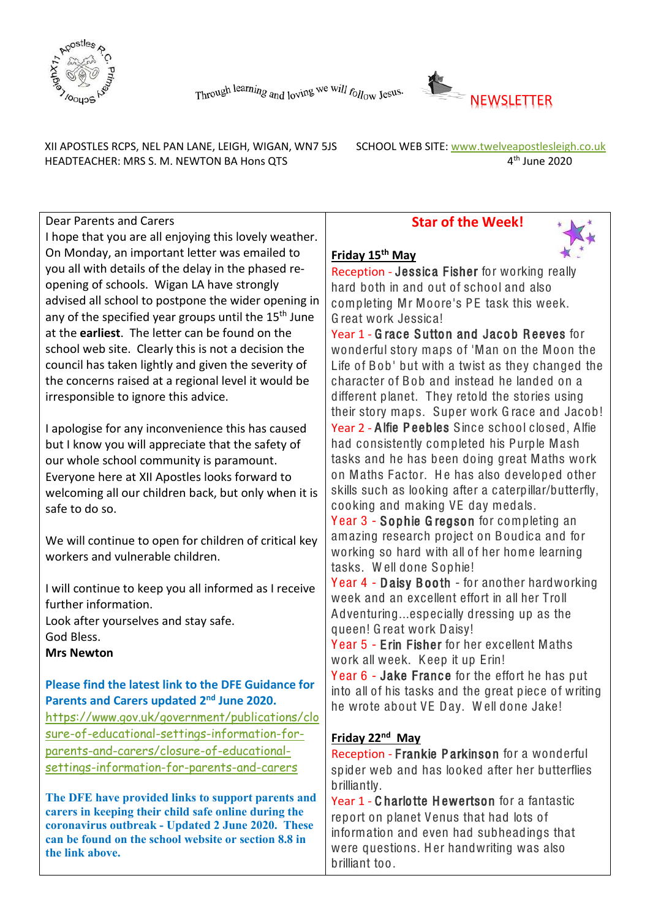



XII APOSTLES RCPS, NEL PAN LANE, LEIGH, WIGAN, WN7 5JS SCHOOL WEB SITE: www.twelveapostlesleigh.co.uk HEADTEACHER: MRS S. M. NEWTON BA Hons QTS 4<sup>th</sup> June 2020

Dear Parents and Carers

I hope that you are all enjoying this lovely weather. On Monday, an important letter was emailed to you all with details of the delay in the phased reopening of schools. Wigan LA have strongly advised all school to postpone the wider opening in any of the specified year groups until the 15<sup>th</sup> June at the **earliest**. The letter can be found on the school web site. Clearly this is not a decision the council has taken lightly and given the severity of the concerns raised at a regional level it would be irresponsible to ignore this advice.

I apologise for any inconvenience this has caused but I know you will appreciate that the safety of our whole school community is paramount. Everyone here at XII Apostles looks forward to welcoming all our children back, but only when it is safe to do so.

We will continue to open for children of critical key workers and vulnerable children.

I will continue to keep you all informed as I receive further information. Look after yourselves and stay safe.

God Bless.

**Mrs Newton** 

## **Please find the latest link to the DFE Guidance for Parents and Carers updated 2nd June 2020.**

[https://www.gov.uk/government/publications/clo](https://www.gov.uk/government/publications/closure-of-educational-settings-information-for-parents-and-carers/closure-of-educational-settings-information-for-parents-and-carers) [sure-of-educational-settings-information-for](https://www.gov.uk/government/publications/closure-of-educational-settings-information-for-parents-and-carers/closure-of-educational-settings-information-for-parents-and-carers)[parents-and-carers/closure-of-educational](https://www.gov.uk/government/publications/closure-of-educational-settings-information-for-parents-and-carers/closure-of-educational-settings-information-for-parents-and-carers)[settings-information-for-parents-and-carers](https://www.gov.uk/government/publications/closure-of-educational-settings-information-for-parents-and-carers/closure-of-educational-settings-information-for-parents-and-carers)

**The DFE have provided links to support parents and carers in keeping their child safe online during the coronavirus outbreak - Updated 2 June 2020. These can be found on the school website or section 8.8 in the link above.**

## **Star of the Week!**



#### **Friday 15th May**

Reception - Jessica Fisher for working really hard both in and out of school and also completing Mr Moore's PE task this week. G reat work Jessica!

Year 1 - Grace Sutton and Jacob Reeves for wonderful story maps of 'Man on the Moon the Life of Bob' but with a twist as they changed the character of Bob and instead he landed on a different planet. They retold the stories using their story maps. Super work G race and Jacob! Year 2 - A lfie P eeb les S ince school closed, A lfie had consistently completed his Purple Mash

tasks and he has been doing great Maths work on Maths Factor. He has also developed other skills such as looking after a caterpillar/butterfly, cooking and making VE day medals.

Year 3 - Sophie Gregson for completing an amazing research project on B oudica and for working so hard with all of her home learning tasks. Well done Sophie!

Year 4 - Daisy Booth - for another hardworking week and an excellent effort in all her Troll A dventuring...especially dressing up as the queen! G reat work D aisy!

Y ear 5 - E rin Fisher for her excellent Maths work all week. Keep it up Erin!

Year 6 - Jake France for the effort he has put into all of his tasks and the great piece of writing he wrote about VE Day. Well done Jake!

## **Friday 22nd May**

Reception - Frankie Parkinson for a wonderful spider web and has looked after her butterflies brilliantly.

Year 1 - Charlotte Hewertson for a fantastic report on planet Venus that had lots of information and even had subheadings that were questions. Her handwriting was also brilliant too.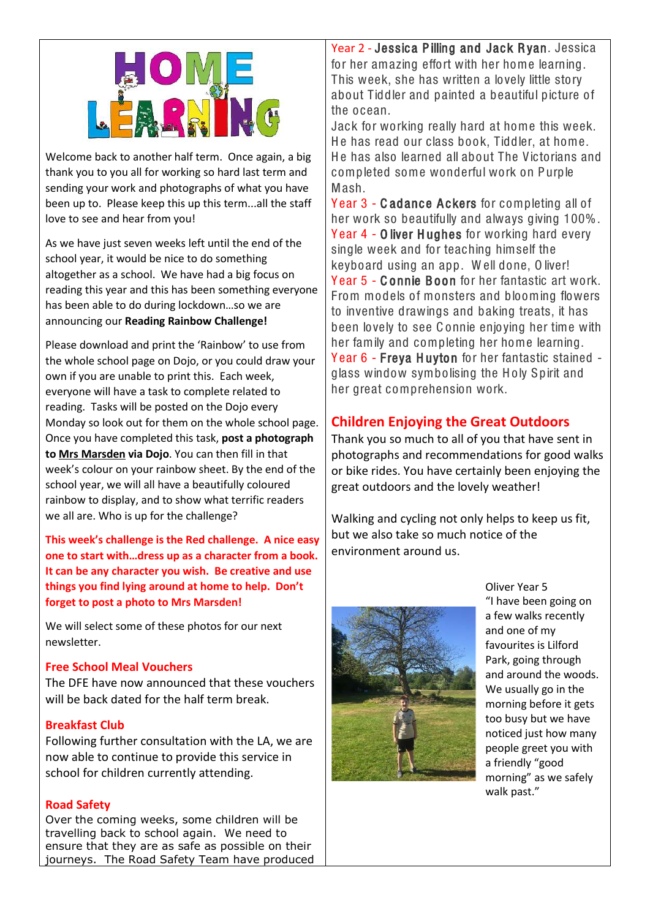

Welcome back to another half term. Once again, a big thank you to you all for working so hard last term and sending your work and photographs of what you have been up to. Please keep this up this term...all the staff love to see and hear from you!

As we have just seven weeks left until the end of the school year, it would be nice to do something altogether as a school. We have had a big focus on reading this year and this has been something everyone has been able to do during lockdown…so we are announcing our **Reading Rainbow Challenge!**

Please download and print the 'Rainbow' to use from the whole school page on Dojo, or you could draw your own if you are unable to print this. Each week, everyone will have a task to complete related to reading. Tasks will be posted on the Dojo every Monday so look out for them on the whole school page. Once you have completed this task, **post a photograph to Mrs Marsden via Dojo**. You can then fill in that week's colour on your rainbow sheet. By the end of the school year, we will all have a beautifully coloured rainbow to display, and to show what terrific readers we all are. Who is up for the challenge?

**This week's challenge is the Red challenge. A nice easy one to start with…dress up as a character from a book. It can be any character you wish. Be creative and use things you find lying around at home to help. Don't forget to post a photo to Mrs Marsden!**

We will select some of these photos for our next newsletter.

#### **Free School Meal Vouchers**

The DFE have now announced that these vouchers will be back dated for the half term break.

#### **Breakfast Club**

Following further consultation with the LA, we are now able to continue to provide this service in school for children currently attending.

#### **Road Safety**

Over the coming weeks, some children will be travelling back to school again. We need to ensure that they are as safe as possible on their journeys. The Road Safety Team have produced

Year 2 - Jessica Pilling and Jack Ryan. Jessica for her amazing effort with her home learning. This week, she has written a lovely little story about Tiddler and painted a beautiful picture of the ocean.

Jack for working really hard at home this week. He has read our class book. Tiddler, at home. He has also learned all about The Victorians and completed some wonderful work on Purple Mash.

Y ear 3 - C adance Ackers for completing all of her work so beautifully and always giving 100%. Year 4 - O liver Hughes for working hard every single week and for teaching himself the keyboard using an app. W ell done, O liver! Year 5 - Connie Boon for her fantastic art work. From models of monsters and blooming flowers to inventive drawings and baking treats, it has been lovely to see C onnie enjoying her time with her family and completing her home learning. Y ear 6 - Freya H uyton for her fantastic stained glass window symbolising the Holy Spirit and her great comprehension work.

# **Children Enjoying the Great Outdoors**

Thank you so much to all of you that have sent in photographs and recommendations for good walks or bike rides. You have certainly been enjoying the great outdoors and the lovely weather!

Walking and cycling not only helps to keep us fit, but we also take so much notice of the environment around us.



Oliver Year 5 "I have been going on a few walks recently and one of my favourites is Lilford Park, going through and around the woods. We usually go in the morning before it gets too busy but we have noticed just how many people greet you with a friendly "good morning" as we safely walk past."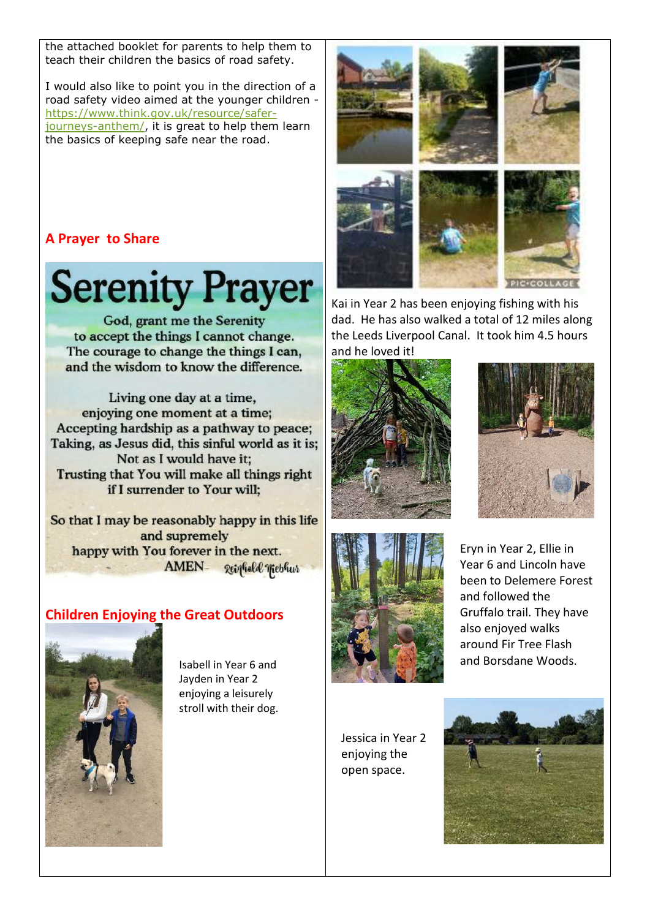the attached booklet for parents to help them to teach their children the basics of road safety.

I would also like to point you in the direction of a road safety video aimed at the younger children [https://www.think.gov.uk/resource/safer](https://www.think.gov.uk/resource/safer-journeys-anthem/)[journeys-anthem/,](https://www.think.gov.uk/resource/safer-journeys-anthem/) it is great to help them learn the basics of keeping safe near the road.

# **A Prayer to Share**

# **Serenity Prayer**

God, grant me the Serenity to accept the things I cannot change. The courage to change the things I can, and the wisdom to know the difference.

Living one day at a time, enjoving one moment at a time: Accepting hardship as a pathway to peace: Taking, as Jesus did, this sinful world as it is; Not as I would have it; Trusting that You will make all things right if I surrender to Your will:

So that I may be reasonably happy in this life and supremely happy with You forever in the next. AMEN-Reigheld Wiebhur

# **Children Enjoying the Great Outdoors**



Isabell in Year 6 and Jayden in Year 2 enjoying a leisurely stroll with their dog.



Kai in Year 2 has been enjoying fishing with his dad. He has also walked a total of 12 miles along the Leeds Liverpool Canal. It took him 4.5 hours and he loved it!







Eryn in Year 2, Ellie in Year 6 and Lincoln have been to Delemere Forest and followed the Gruffalo trail. They have also enjoyed walks around Fir Tree Flash and Borsdane Woods.

Jessica in Year 2 enjoying the open space.